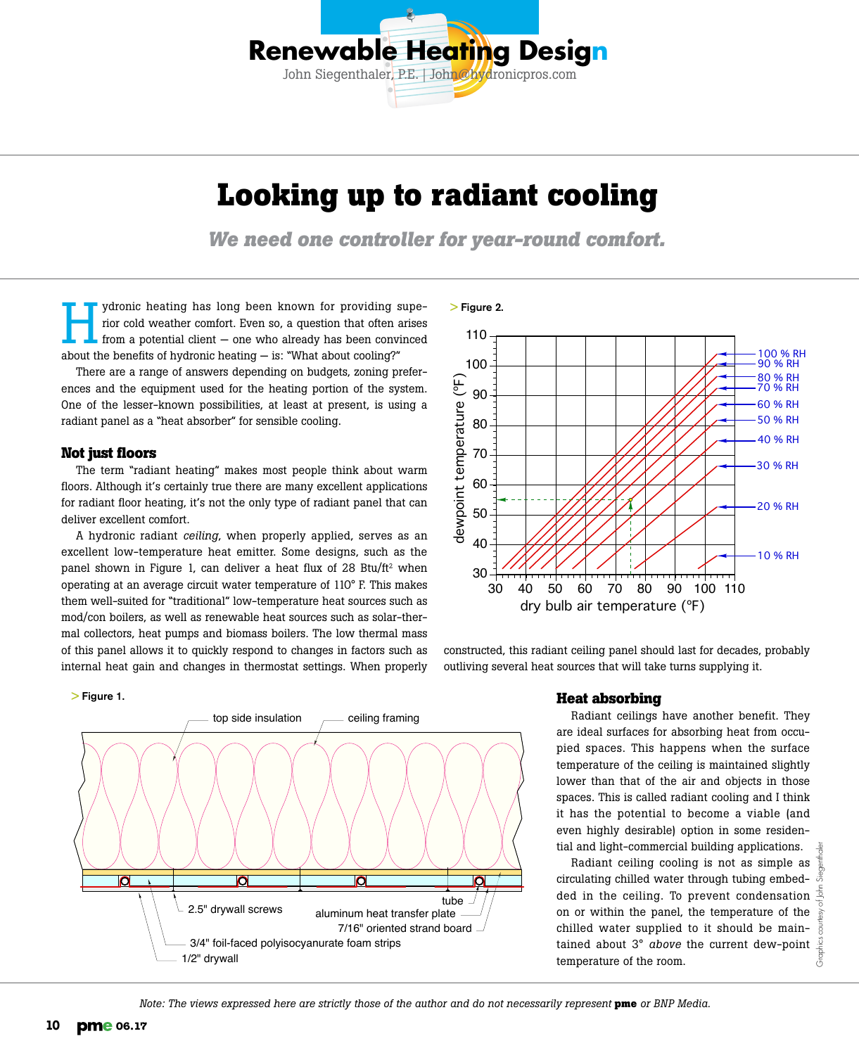

# **Looking up to radiant cooling**

*We need one controller for year-round comfort.*

> Figure 2.

ydronic heating has long been known for providing superior cold weather comfort. Even so, a question that often arises from a potential client — one who already has been convinced about the benefits of hydronic heating  $-$  is: "What about cooling?"

There are a range of answers depending on budgets, zoning preferences and the equipment used for the heating portion of the system. One of the lesser-known possibilities, at least at present, is using a radiant panel as a "heat absorber" for sensible cooling.

### **Not just floors**

The term "radiant heating" makes most people think about warm floors. Although it's certainly true there are many excellent applications for radiant floor heating, it's not the only type of radiant panel that can deliver excellent comfort.

A hydronic radiant *ceiling*, when properly applied, serves as an excellent low-temperature heat emitter. Some designs, such as the panel shown in Figure 1, can deliver a heat flux of 28 Btu/ft<sup>2</sup> when operating at an average circuit water temperature of 110° F. This makes them well-suited for "traditional" low-temperature heat sources such as mod/con boilers, as well as renewable heat sources such as solar-thermal collectors, heat pumps and biomass boilers. The low thermal mass of this panel allows it to quickly respond to changes in factors such as internal heat gain and changes in thermostat settings. When properly

#### > Figure 1.





constructed, this radiant ceiling panel should last for decades, probably outliving several heat sources that will take turns supplying it.

### **Heat absorbing**

Radiant ceilings have another benefit. They are ideal surfaces for absorbing heat from occupied spaces. This happens when the surface temperature of the ceiling is maintained slightly lower than that of the air and objects in those spaces. This is called radiant cooling and I think it has the potential to become a viable (and even highly desirable) option in some residential and light-commercial building applications.

Radiant ceiling cooling is not as simple as circulating chilled water through tubing embedded in the ceiling. To prevent condensation on or within the panel, the temperature of the chilled water supplied to it should be maintained about 3° *above* the current dew-point temperature of the room.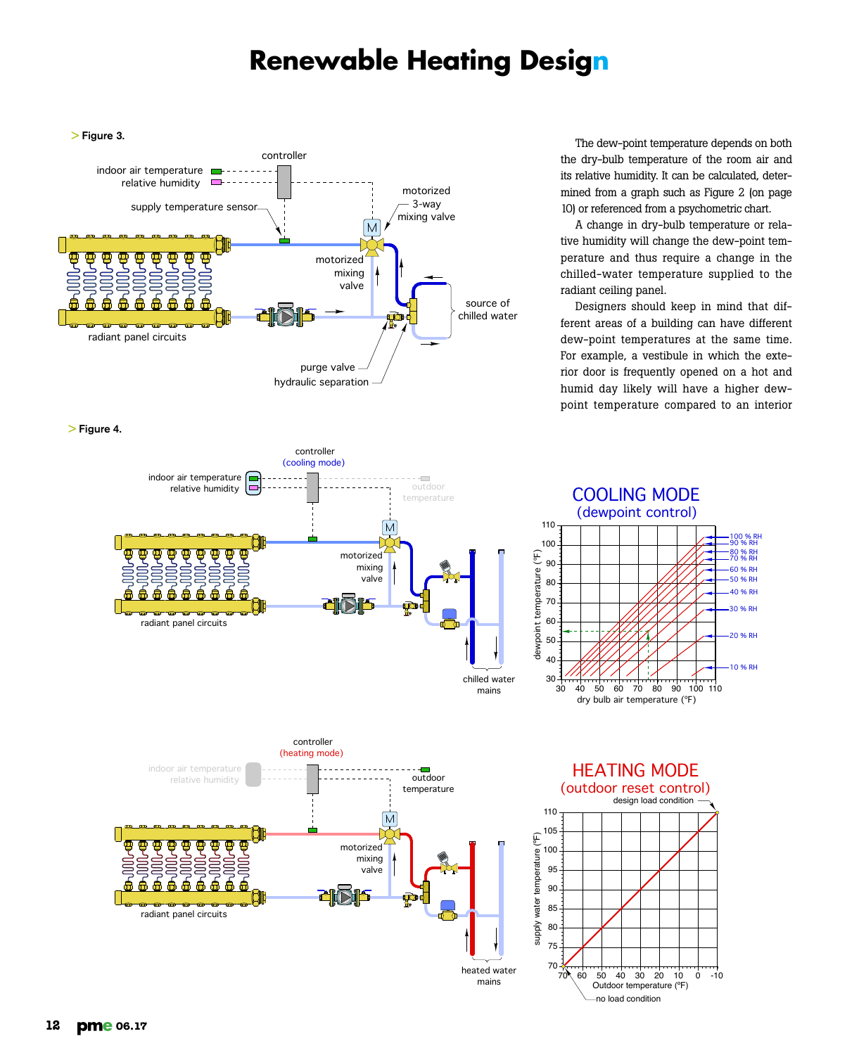## **Renewable Heating Design**



> Figure 4.



The dew-point temperature depends on both the dry-bulb temperature of the room air and its relative humidity. It can be calculated, determined from a graph such as Figure 2 (on page 10) or referenced from a psychometric chart.

A change in dry-bulb temperature or relative humidity will change the dew-point temperature and thus require a change in the chilled-water temperature supplied to the radiant ceiling panel.

Designers should keep in mind that different areas of a building can have different dew-point temperatures at the same time. For example, a vestibule in which the exterior door is frequently opened on a hot and humid day likely will have a higher dewpoint temperature compared to an interior





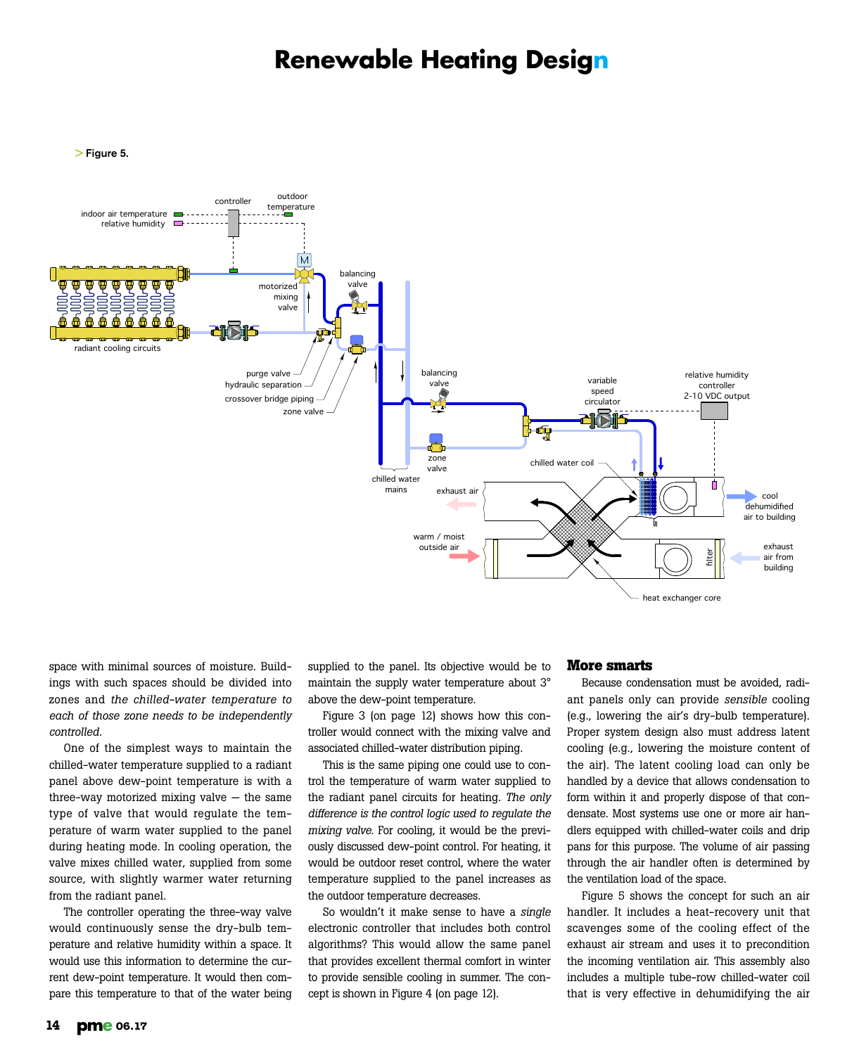### **Renewable Heating Design**

> Figure 5.



space with minimal sources of moisture. Buildings with such spaces should be divided into zones and *the chilled-water temperature to each of those zone needs to be independently controlled.*

One of the simplest ways to maintain the chilled-water temperature supplied to a radiant panel above dew-point temperature is with a three-way motorized mixing valve  $-$  the same type of valve that would regulate the temperature of warm water supplied to the panel during heating mode. In cooling operation, the valve mixes chilled water, supplied from some source, with slightly warmer water returning from the radiant panel.

The controller operating the three-way valve would continuously sense the dry-bulb temperature and relative humidity within a space. It would use this information to determine the current dew-point temperature. It would then compare this temperature to that of the water being supplied to the panel. Its objective would be to maintain the supply water temperature about 3° above the dew-point temperature.

Figure 3 (on page 12) shows how this controller would connect with the mixing valve and associated chilled-water distribution piping.

This is the same piping one could use to control the temperature of warm water supplied to the radiant panel circuits for heating. *The only difference is the control logic used to regulate the mixing valve.* For cooling, it would be the previously discussed dew-point control. For heating, it would be outdoor reset control, where the water temperature supplied to the panel increases as the outdoor temperature decreases.

So wouldn't it make sense to have a *single* electronic controller that includes both control algorithms? This would allow the same panel that provides excellent thermal comfort in winter to provide sensible cooling in summer. The concept is shown in Figure 4 (on page 12).

### **More smarts**

Because condensation must be avoided, radiant panels only can provide *sensible* cooling (e.g., lowering the air's dry-bulb temperature). Proper system design also must address latent cooling (e.g., lowering the moisture content of the air). The latent cooling load can only be handled by a device that allows condensation to form within it and properly dispose of that condensate. Most systems use one or more air handlers equipped with chilled-water coils and drip pans for this purpose. The volume of air passing through the air handler often is determined by the ventilation load of the space.

Figure 5 shows the concept for such an air handler. It includes a heat-recovery unit that scavenges some of the cooling effect of the exhaust air stream and uses it to precondition the incoming ventilation air. This assembly also includes a multiple tube-row chilled-water coil that is very effective in dehumidifying the air